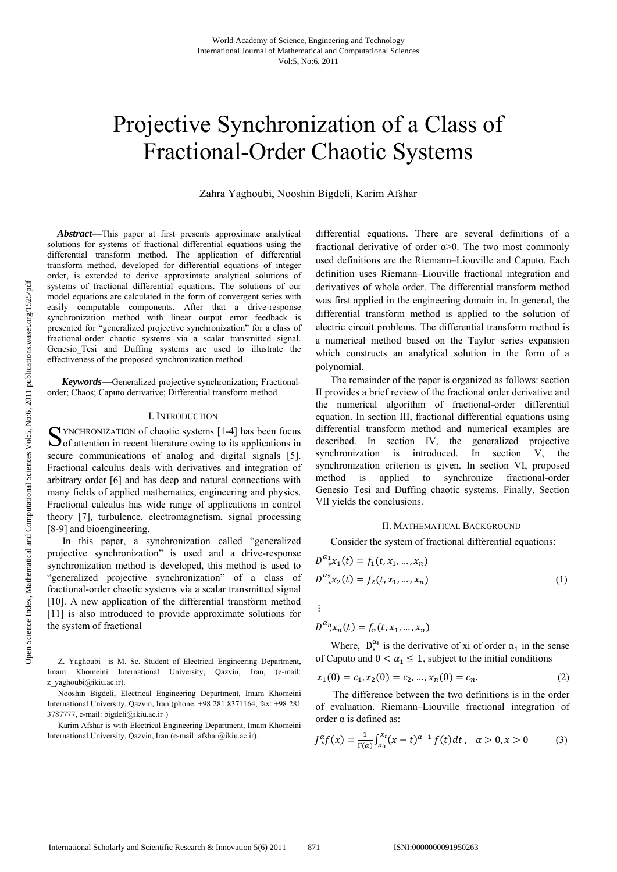# Projective Synchronization of a Class of Fractional-Order Chaotic Systems

Zahra Yaghoubi, Nooshin Bigdeli, Karim Afshar

*Abstract—*This paper at first presents approximate analytical solutions for systems of fractional differential equations using the differential transform method. The application of differential transform method, developed for differential equations of integer order, is extended to derive approximate analytical solutions of systems of fractional differential equations. The solutions of our model equations are calculated in the form of convergent series with easily computable components. After that a drive-response synchronization method with linear output error feedback is presented for "generalized projective synchronization" for a class of fractional-order chaotic systems via a scalar transmitted signal. Genesio Tesi and Duffing systems are used to illustrate the effectiveness of the proposed synchronization method.

*Keywords—*Generalized projective synchronization; Fractionalorder; Chaos; Caputo derivative; Differential transform method

## I. INTRODUCTION

YNCHRONIZATION of chaotic systems [1-4] has been focus S YNCHRONIZATION of chaotic systems [1-4] has been focus of attention in recent literature owing to its applications in secure communications of analog and digital signals [5]. Fractional calculus deals with derivatives and integration of arbitrary order [6] and has deep and natural connections with many fields of applied mathematics, engineering and physics. Fractional calculus has wide range of applications in control theory [7], turbulence, electromagnetism, signal processing [8-9] and bioengineering.

 In this paper, a synchronization called "generalized projective synchronization" is used and a drive-response synchronization method is developed, this method is used to "generalized projective synchronization" of a class of fractional-order chaotic systems via a scalar transmitted signal [10]. A new application of the differential transform method [11] is also introduced to provide approximate solutions for the system of fractional

differential equations. There are several definitions of a fractional derivative of order  $\alpha$  >0. The two most commonly used definitions are the Riemann–Liouville and Caputo. Each definition uses Riemann–Liouville fractional integration and derivatives of whole order. The differential transform method was first applied in the engineering domain in. In general, the differential transform method is applied to the solution of electric circuit problems. The differential transform method is a numerical method based on the Taylor series expansion which constructs an analytical solution in the form of a polynomial.

 The remainder of the paper is organized as follows: section II provides a brief review of the fractional order derivative and the numerical algorithm of fractional-order differential equation. In section III, fractional differential equations using differential transform method and numerical examples are described. In section IV, the generalized projective synchronization is introduced. In section V, the synchronization criterion is given. In section VI, proposed method is applied to synchronize fractional-order Genesio\_Tesi and Duffing chaotic systems. Finally, Section VII yields the conclusions.

## II. MATHEMATICAL BACKGROUND

Consider the system of fractional differential equations:

$$
D^{a_1}_{*}x_1(t) = f_1(t, x_1, ..., x_n)
$$
  
\n
$$
D^{a_2}_{*}x_2(t) = f_2(t, x_1, ..., x_n)
$$
\n(1)

 $\vdots$ 

$$
D^{\alpha_n} x_n(t) = f_n(t, x_1, \dots, x_n)
$$

Where,  $D_*^{\alpha_i}$  is the derivative of xi of order  $\alpha_1$  in the sense of Caputo and  $0 < \alpha_1 \le 1$ , subject to the initial conditions

$$
x_1(0) = c_1, x_2(0) = c_2, ..., x_n(0) = c_n.
$$
 (2)

 The difference between the two definitions is in the order of evaluation. Riemann–Liouville fractional integration of order  $\alpha$  is defined as:

$$
J_{*}^{\alpha}f(x) = \frac{1}{\Gamma(\alpha)} \int_{x_0}^{x_t} (x - t)^{\alpha - 1} f(t) dt, \quad \alpha > 0, x > 0 \tag{3}
$$

Z. Yaghoubi is M. Sc. Student of Electrical Engineering Department, Imam Khomeini International University, Qazvin, Iran, (e-mail: z\_yaghoubi@ikiu.ac.ir).

Nooshin Bigdeli, Electrical Engineering Department, Imam Khomeini International University, Qazvin, Iran (phone: +98 281 8371164, fax: +98 281 3787777, e-mail: bigdeli@ikiu.ac.ir )

Karim Afshar is with Electrical Engineering Department, Imam Khomeini International University, Qazvin, Iran (e-mail: afshar@ikiu.ac.ir).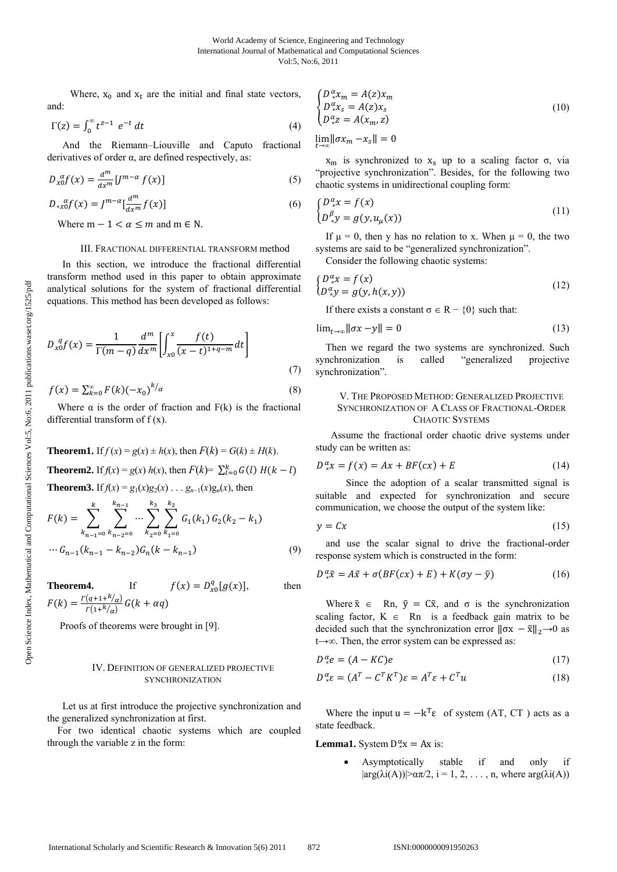Where,  $x_0$  and  $x_t$  are the initial and final state vectors, and:

$$
\Gamma(z) = \int_0^\infty t^{z-1} e^{-t} dt \tag{4}
$$

 And the Riemann–Liouville and Caputo fractional derivatives of order  $\alpha$ , are defined respectively, as:

$$
D_{x0}^{ \alpha} f(x) = \frac{d^{m}}{dx^{m}} \left[ J^{m-\alpha} f(x) \right] \tag{5}
$$

$$
D_{*x0}^{\ \alpha}f(x) = J^{m-\alpha} \left[\frac{d^m}{dx^m} f(x)\right] \tag{6}
$$

Where  $m - 1 < \alpha \le m$  and  $m \in N$ .

#### III. FRACTIONAL DIFFERENTIAL TRANSFORM method

 In this section, we introduce the fractional differential transform method used in this paper to obtain approximate analytical solutions for the system of fractional differential equations. This method has been developed as follows:

$$
D_{x0}^{q}f(x) = \frac{1}{\Gamma(m-q)} \frac{d^{m}}{dx^{m}} \left[ \int_{x0}^{x} \frac{f(t)}{(x-t)^{1+q-m}} dt \right]
$$
\n(7)

$$
f(x) = \sum_{k=0}^{\infty} F(k) (-x_0)^{k/a}
$$
 (8)

Where  $\alpha$  is the order of fraction and  $F(k)$  is the fractional differential transform of f (x).

**Theorem1.** If 
$$
f(x) = g(x) \pm h(x)
$$
, then  $F(k) = G(k) \pm H(k)$ .  
\n**Theorem2.** If  $f(x) = g(x) h(x)$ , then  $F(k) = \sum_{l=0}^{k} G(l) H(k-l)$   
\n**Theorem3.** If  $f(x) = g_1(x)g_2(x) \dots g_{n-1}(x)g_n(x)$ , then

$$
F(k) = \sum_{k_{n-1}=0}^{ } \sum_{k_{n-2}=0}^{ } \cdots \sum_{k_{2}=0}^{ } \sum_{k_{1}=0}^{ } G_{1}(k_{1}) G_{2}(k_{2} - k_{1})
$$
  
 
$$
\cdots G_{n-1}(k_{n-1} - k_{n-2}) G_{n}(k - k_{n-1})
$$
 (9)

**Theorem4.** If 
$$
f(x) = D_{x0}^q[g(x)]
$$
, then  
\n
$$
F(k) = \frac{r(q+1+k/q)}{r(1+k/q)} G(k+\alpha q)
$$

Proofs of theorems were brought in [9].

### IV. DEFINITION OF GENERALIZED PROJECTIVE SYNCHRONIZATION

 Let us at first introduce the projective synchronization and the generalized synchronization at first.

For two identical chaotic systems which are coupled through the variable z in the form:

$$
\begin{cases}\nD_x^{\alpha} x_m = A(z) x_m \\
D_x^{\alpha} x_s = A(z) x_s \\
D_x^{\alpha} z = A(x_m, z)\n\end{cases} \tag{10}
$$

 $\lim_{t\to\infty} \|\sigma x_m - x_s\| = 0$ 

 $x_m$  is synchronized to  $x_s$  up to a scaling factor  $\sigma$ , via "projective synchronization". Besides, for the following two chaotic systems in unidirectional coupling form:

$$
\begin{cases}\nD_x^{\alpha}x = f(x) \\
D_x^{\beta}y = g(y, u_\mu(x))\n\end{cases} (11)
$$

If  $\mu = 0$ , then y has no relation to x. When  $\mu = 0$ , the two systems are said to be "generalized synchronization".

Consider the following chaotic systems:

$$
\begin{cases}\nD_x^{\alpha}x = f(x) \\
D_x^{\alpha}y = g(y, h(x, y))\n\end{cases} \tag{12}
$$

If there exists a constant  $\sigma \in \mathbb{R} - \{0\}$  such that:

$$
\lim_{t \to \infty} \|\sigma x - y\| = 0 \tag{13}
$$

Then we regard the two systems are synchronized. Such synchronization is called "generalized projective synchronization".

### V. THE PROPOSED METHOD: GENERALIZED PROJECTIVE SYNCHRONIZATION OF A CLASS OF FRACTIONAL-ORDER CHAOTIC SYSTEMS

 Assume the fractional order chaotic drive systems under study can be written as:

$$
D^{\alpha}_{*}x = f(x) = Ax + BF(cx) + E \tag{14}
$$

 Since the adoption of a scalar transmitted signal is suitable and expected for synchronization and secure communication, we choose the output of the system like:

$$
y = Cx \tag{15}
$$

and use the scalar signal to drive the fractional-order response system which is constructed in the form:

$$
D^{\alpha}_{*}\tilde{x} = A\tilde{x} + \sigma(BF(cx) + E) + K(\sigma y - \tilde{y})
$$
\n(16)

Where  $\tilde{x} \in \text{Rn}, \ \tilde{y} = \text{C}\tilde{x}$ , and  $\sigma$  is the synchronization scaling factor,  $K \in \mathbb{R}$ n is a feedback gain matrix to be decided such that the synchronization error  $\|\sigma x - \tilde{x}\|_2 \to 0$  as t→∞. Then, the error system can be expressed as:

$$
D^{\alpha}_{*}e = (A - KC)e
$$
 (17)

$$
D^{\alpha}_{*}\varepsilon = (A^{T} - C^{T}K^{T})\varepsilon = A^{T}\varepsilon + C^{T}u \qquad (18)
$$

Where the input  $u = -k^{T} \varepsilon$  of system (AT, CT) acts as a state feedback.

**Lemma1.** System  $D^{\alpha}_{*}x = Ax$  is:

• Asymptotically stable if and only if  $|\arg(\lambda i(A))| > \alpha \pi/2$ ,  $i = 1, 2, ..., n$ , where  $\arg(\lambda i(A))$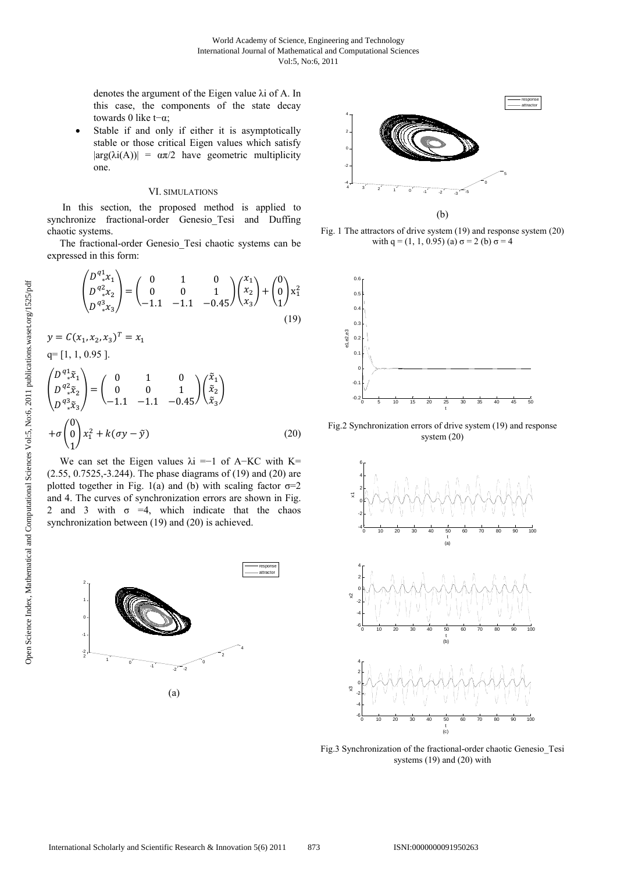denotes the argument of the Eigen value λi of A. In this case, the components of the state decay towards 0 like t−α;

Stable if and only if either it is asymptotically stable or those critical Eigen values which satisfy  $|\arg(\lambda i(A))| = \alpha \pi/2$  have geometric multiplicity one.

#### VI. SIMULATIONS

 In this section, the proposed method is applied to synchronize fractional-order Genesio\_Tesi and Duffing chaotic systems.

 The fractional-order Genesio\_Tesi chaotic systems can be expressed in this form:

 $\mathbf{z}$ 

$$
\begin{pmatrix} D^{q_1}x_1 \\ D^{q_2}x_2 \\ D^{q_3}x_3 \end{pmatrix} = \begin{pmatrix} 0 & 1 & 0 \\ 0 & 0 & 1 \\ -1.1 & -1.1 & -0.45 \end{pmatrix} \begin{pmatrix} x_1 \\ x_2 \\ x_3 \end{pmatrix} + \begin{pmatrix} 0 \\ 0 \\ 1 \end{pmatrix} x_1^2
$$
  
(19)  

$$
y = C(x_1, x_2, x_3)^T = x_1
$$
  

$$
q = [1, 1, 0.95].
$$
  

$$
\begin{pmatrix} D^{q_1}x_1 \\ D^{q_2}x_2 \\ D^{q_3}x_3 \end{pmatrix} = \begin{pmatrix} 0 & 1 & 0 \\ 0 & 0 & 1 \end{pmatrix} \begin{pmatrix} \tilde{x}_1 \\ \tilde{x}_2 \\ \tilde{x}_3 \end{pmatrix}
$$

$$
\begin{pmatrix} D^{\pi} \tilde{x}_1 \\ D^{\pi} \tilde{x}_2 \\ D^{\pi} \tilde{x}_3 \end{pmatrix} = \begin{pmatrix} 0 & 1 & 0 \\ 0 & 0 & 1 \\ -1.1 & -1.1 & -0.45 \end{pmatrix} \begin{pmatrix} \tilde{x}_1 \\ \tilde{x}_2 \\ \tilde{x}_3 \end{pmatrix}
$$

$$
+ \sigma \begin{pmatrix} 0 \\ 0 \\ 1 \end{pmatrix} x_1^2 + k(\sigma y - \tilde{y})
$$
(20)

We can set the Eigen values  $\lambda i = -1$  of A–KC with K= (2.55, 0.7525,-3.244). The phase diagrams of (19) and (20) are plotted together in Fig. 1(a) and (b) with scaling factor  $\sigma=2$ and 4. The curves of synchronization errors are shown in Fig. 2 and 3 with  $\sigma$  =4, which indicate that the chaos synchronization between (19) and (20) is achieved.





Fig. 1 The attractors of drive system (19) and response system (20) with q = (1, 1, 0.95) (a)  $\sigma$  = 2 (b)  $\sigma$  = 4



Fig.2 Synchronization errors of drive system (19) and response system (20)



Fig.3 Synchronization of the fractional-order chaotic Genesio\_Tesi systems (19) and (20) with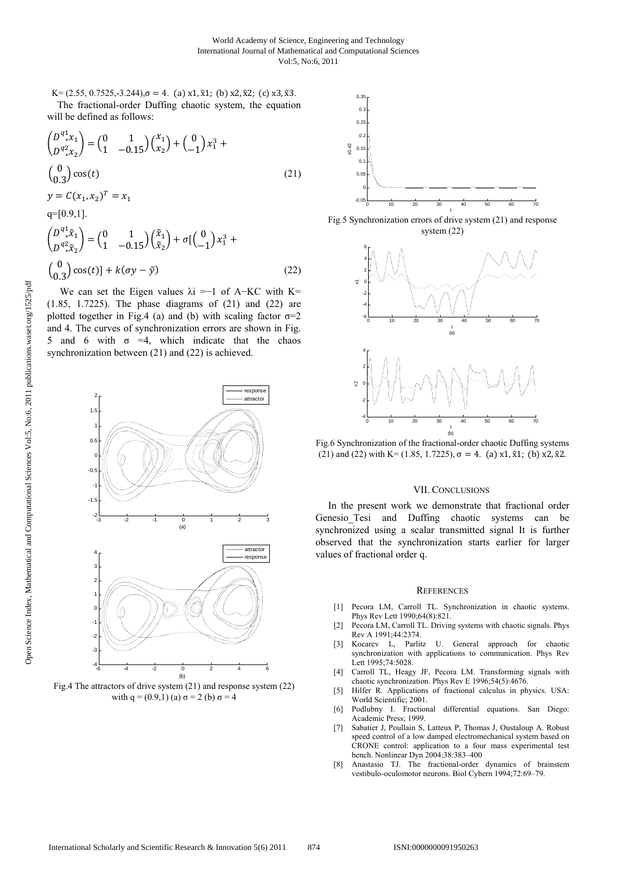K=  $(2.55, 0.7525, -3.244)$ , $\sigma = 4$ . (a) x1,  $\tilde{x}$ 1; (b) x2,  $\tilde{x}$ 2; (c) x3,  $\tilde{x}$ 3. The fractional-order Duffing chaotic system, the equation will be defined as follows:

$$
\begin{aligned}\n\binom{D^{q_1^*}x_1}{D^{q_2^*}x_2} &= \binom{0}{1} \quad \frac{1}{-0.15} \binom{x_1}{x_2} + \binom{0}{-1} x_1^3 + \\
\binom{0}{0.3} \cos(t) & \text{(21)} \\
y &= C(x_1, x_2)^T = x_1 \\
q &= [0.9, 1]. \\
\binom{D^{q_1^*}x_1}{D^{q_2^*}x_2} &= \binom{0}{1} \quad \frac{1}{-0.15} \binom{\tilde{x}_1}{\tilde{x}_2} + \sigma \left[ \binom{0}{-1} x_1^3 + \\
\binom{0}{0.3} \cos(t) + k(\sigma y - \tilde{y}) & \text{(22)}\n\end{aligned}
$$

We can set the Eigen values  $\lambda i = -1$  of A–KC with K= (1.85, 1.7225). The phase diagrams of (21) and (22) are plotted together in Fig.4 (a) and (b) with scaling factor  $\sigma = 2$ and 4. The curves of synchronization errors are shown in Fig. 5 and 6 with  $\sigma$  =4, which indicate that the chaos synchronization between (21) and (22) is achieved.



Fig.4 The attractors of drive system (21) and response system (22) with  $q = (0.9,1)$  (a)  $\sigma = 2$  (b)  $\sigma = 4$ 



Fig.5 Synchronization errors of drive system (21) and response system (22)



Fig.6 Synchronization of the fractional-order chaotic Duffing systems (21) and (22) with K= (1.85, 1.7225),  $\sigma = 4$ . (a) x1,  $\tilde{x}$ 1; (b) x2,  $\tilde{x}$ 2.

#### VII. CONCLUSIONS

 In the present work we demonstrate that fractional order Genesio\_Tesi and Duffing chaotic systems can be synchronized using a scalar transmitted signal It is further observed that the synchronization starts earlier for larger values of fractional order q.

#### **REFERENCES**

- [1] Pecora LM, Carroll TL. Synchronization in chaotic systems. Phys Rev Lett 1990;64(8):821.
- [2] Pecora LM, Carroll TL. Driving systems with chaotic signals. Phys Rev A 1991;44:2374.
- [3] Kocarev L, Parlitz U. General approach for chaotic synchronization with applications to communication. Phys Rev Lett 1995;74:5028.
- [4] Carroll TL, Heagy JF, Pecora LM. Transforming signals with chaotic synchronization. Phys Rev E 1996;54(5):4676.
- [5] Hilfer R. Applications of fractional calculus in physics. USA: World Scientific; 2001.
- [6] Podlubny I. Fractional differential equations. San Diego: Academic Press; 1999.
- [7] Sabatier J, Poullain S, Latteux P, Thomas J, Oustaloup A. Robust speed control of a low damped electromechanical system based on CRONE control: application to a four mass experimental test bench. Nonlinear Dyn 2004;38:383–400
- [8] Anastasio TJ. The fractional-order dynamics of brainstem vestibulo-oculomotor neurons. Biol Cybern 1994;72:69–79.